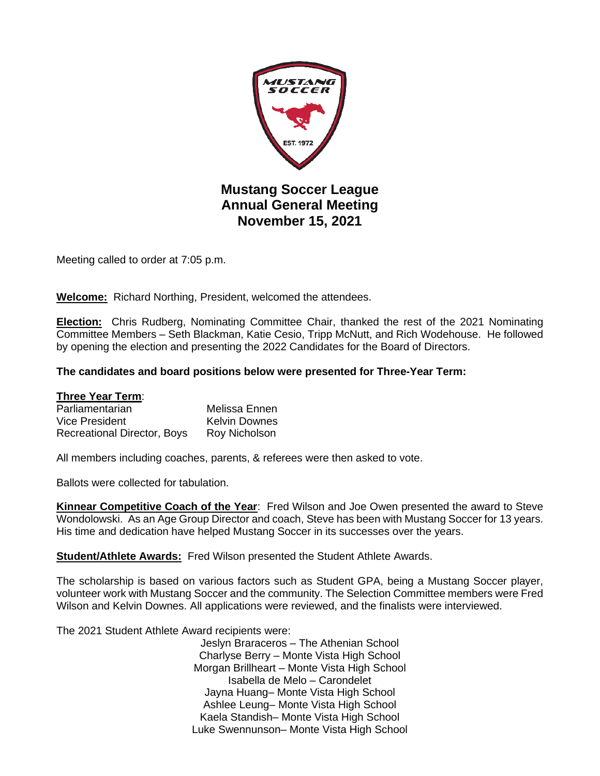

**November 15, 2021**

Meeting called to order at 7:05 p.m.

**Welcome:** Richard Northing, President, welcomed the attendees.

**Election:** Chris Rudberg, Nominating Committee Chair, thanked the rest of the 2021 Nominating Committee Members – Seth Blackman, Katie Cesio, Tripp McNutt, and Rich Wodehouse. He followed by opening the election and presenting the 2022 Candidates for the Board of Directors.

## **The candidates and board positions below were presented for Three-Year Term:**

## **Three Year Term**:

| Parliamentarian                    | Melissa Ennen        |
|------------------------------------|----------------------|
| Vice President                     | <b>Kelvin Downes</b> |
| <b>Recreational Director, Boys</b> | Roy Nicholson        |

All members including coaches, parents, & referees were then asked to vote.

Ballots were collected for tabulation.

**Kinnear Competitive Coach of the Year**: Fred Wilson and Joe Owen presented the award to Steve Wondolowski. As an Age Group Director and coach, Steve has been with Mustang Soccer for 13 years. His time and dedication have helped Mustang Soccer in its successes over the years.

**Student/Athlete Awards:** Fred Wilson presented the Student Athlete Awards.

The scholarship is based on various factors such as Student GPA, being a Mustang Soccer player, volunteer work with Mustang Soccer and the community. The Selection Committee members were Fred Wilson and Kelvin Downes. All applications were reviewed, and the finalists were interviewed.

The 2021 Student Athlete Award recipients were:

Jeslyn Braraceros – The Athenian School Charlyse Berry – Monte Vista High School Morgan Brillheart – Monte Vista High School Isabella de Melo – Carondelet Jayna Huang– Monte Vista High School Ashlee Leung– Monte Vista High School Kaela Standish– Monte Vista High School Luke Swennunson– Monte Vista High School